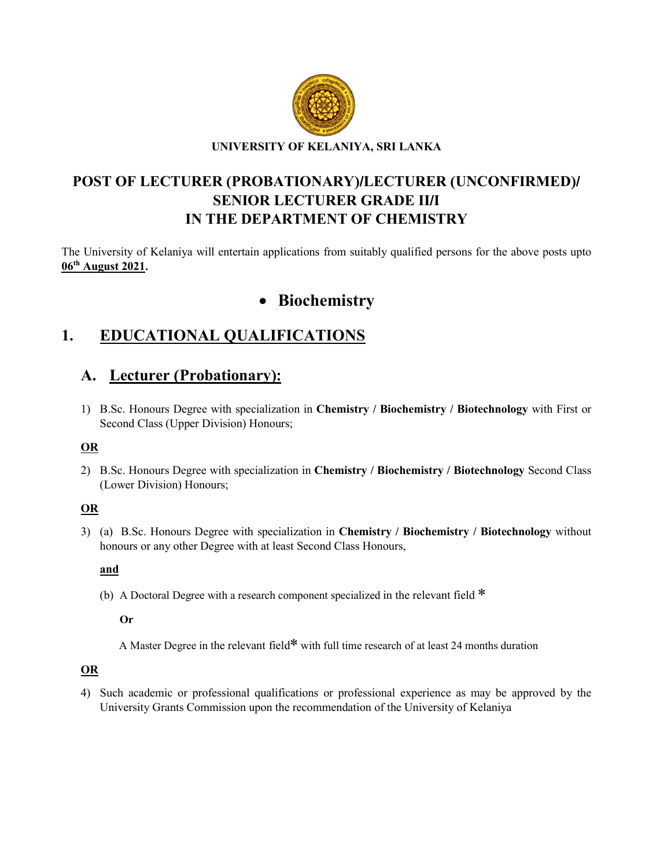

## POST OF LECTURER (PROBATIONARY)/LECTURER (UNCONFIRMED)/ SENIOR LECTURER GRADE II/I IN THE DEPARTMENT OF CHEMISTRY

The University of Kelaniya will entertain applications from suitably qualified persons for the above posts upto 06th August 2021.

# • Biochemistry

# 1. EDUCATIONAL QUALIFICATIONS

## A. Lecturer (Probationary):

1) B.Sc. Honours Degree with specialization in Chemistry / Biochemistry / Biotechnology with First or Second Class (Upper Division) Honours;

## OR

2) B.Sc. Honours Degree with specialization in Chemistry / Biochemistry / Biotechnology Second Class (Lower Division) Honours;

## OR

3) (a) B.Sc. Honours Degree with specialization in Chemistry / Biochemistry / Biotechnology without honours or any other Degree with at least Second Class Honours,

#### and

(b) A Doctoral Degree with a research component specialized in the relevant field \*

Or

A Master Degree in the relevant field\* with full time research of at least 24 months duration

## **OR**

4) Such academic or professional qualifications or professional experience as may be approved by the University Grants Commission upon the recommendation of the University of Kelaniya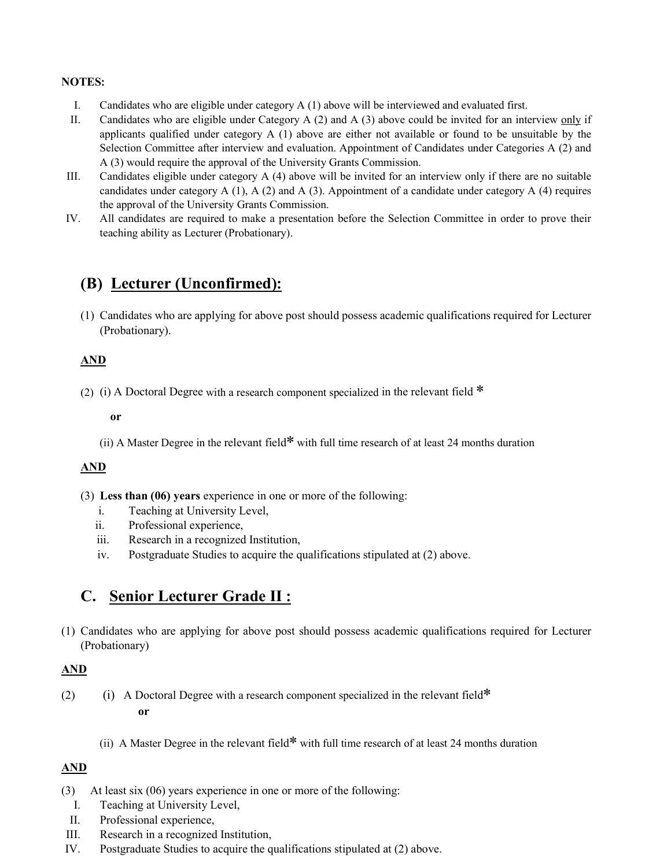#### NOTES:

- I. Candidates who are eligible under category A (1) above will be interviewed and evaluated first.
- II. Candidates who are eligible under Category A  $(2)$  and A  $(3)$  above could be invited for an interview only if applicants qualified under category  $A(1)$  above are either not available or found to be unsuitable by the Selection Committee after interview and evaluation. Appointment of Candidates under Categories A (2) and A (3) would require the approval of the University Grants Commission.
- III. Candidates eligible under category A (4) above will be invited for an interview only if there are no suitable candidates under category  $A(1)$ ,  $A(2)$  and  $A(3)$ . Appointment of a candidate under category  $A(4)$  requires the approval of the University Grants Commission.
- IV. All candidates are required to make a presentation before the Selection Committee in order to prove their teaching ability as Lecturer (Probationary).

# (B) Lecturer (Unconfirmed):

(1) Candidates who are applying for above post should possess academic qualifications required for Lecturer (Probationary).

#### AND

(2) (i) A Doctoral Degree with a research component specialized in the relevant field  $*$ 

or

(ii) A Master Degree in the relevant field\* with full time research of at least 24 months duration

#### AND

(3) Less than (06) years experience in one or more of the following:

- i. Teaching at University Level,
- ii. Professional experience,
- iii. Research in a recognized Institution,
- iv. Postgraduate Studies to acquire the qualifications stipulated at (2) above.

## C. Senior Lecturer Grade II :

(1) Candidates who are applying for above post should possess academic qualifications required for Lecturer (Probationary)

## AND

- (2) (i) A Doctoral Degree with a research component specialized in the relevant field\* or
	- (ii) A Master Degree in the relevant field\* with full time research of at least 24 months duration

## AND

- (3) At least six (06) years experience in one or more of the following:
	- I. Teaching at University Level,
	- II. Professional experience,
- III. Research in a recognized Institution,
- IV. Postgraduate Studies to acquire the qualifications stipulated at (2) above.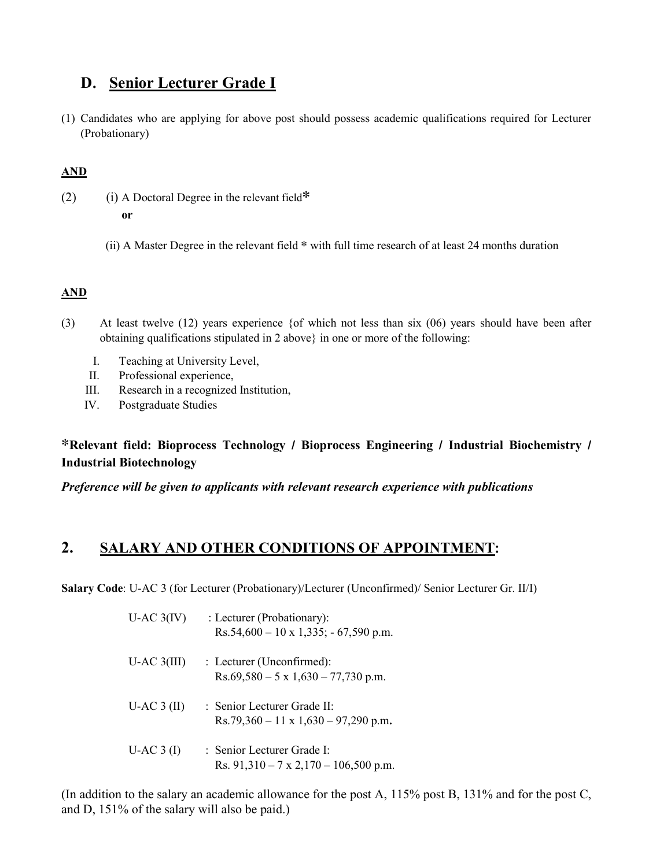## D. Senior Lecturer Grade I

(1) Candidates who are applying for above post should possess academic qualifications required for Lecturer (Probationary)

## AND

- (2) (i) A Doctoral Degree in the relevant field $*$  or
	- (ii) A Master Degree in the relevant field \* with full time research of at least 24 months duration

## AND

- (3) At least twelve (12) years experience {of which not less than six (06) years should have been after obtaining qualifications stipulated in 2 above} in one or more of the following:
	- I. Teaching at University Level,
	- II. Professional experience,
	- III. Research in a recognized Institution,
	- IV. Postgraduate Studies

## \*Relevant field: Bioprocess Technology / Bioprocess Engineering / Industrial Biochemistry / Industrial Biotechnology

*Preference will be given to applicants with relevant research experience with publications* 

## 2. SALARY AND OTHER CONDITIONS OF APPOINTMENT:

Salary Code: U-AC 3 (for Lecturer (Probationary)/Lecturer (Unconfirmed)/ Senior Lecturer Gr. II/I)

| $U$ -AC $3(IV)$ | : Lecturer (Probationary):<br>$Rs.54,600 - 10 \times 1,335; -67,590 \text{ p.m.}$          |
|-----------------|--------------------------------------------------------------------------------------------|
| $U-AC$ 3(III)   | $\therefore$ Lecturer (Unconfirmed):<br>$Rs.69,580 - 5 \times 1,630 - 77,730 \text{ p.m.}$ |
| $U-AC3$ (II)    | : Senior Lecturer Grade II:<br>$Rs.79,360 - 11 \times 1,630 - 97,290 \text{ p.m.}$         |
| $U-AC3$ (I)     | : Senior Lecturer Grade I:<br>Rs. $91,310 - 7 \times 2,170 - 106,500 \text{ p.m.}$         |

(In addition to the salary an academic allowance for the post A, 115% post B, 131% and for the post C, and D, 151% of the salary will also be paid.)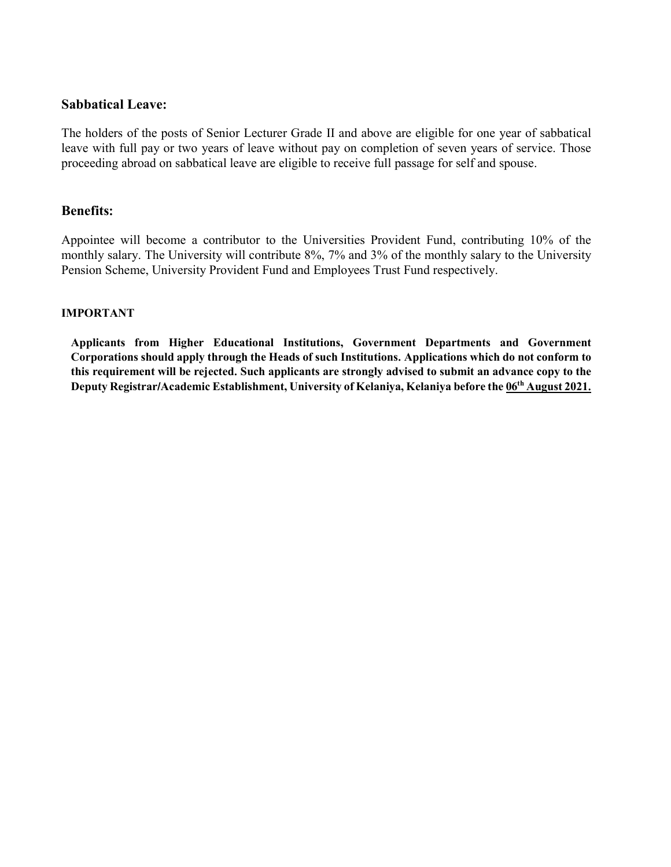#### Sabbatical Leave:

The holders of the posts of Senior Lecturer Grade II and above are eligible for one year of sabbatical leave with full pay or two years of leave without pay on completion of seven years of service. Those proceeding abroad on sabbatical leave are eligible to receive full passage for self and spouse.

#### Benefits:

Appointee will become a contributor to the Universities Provident Fund, contributing 10% of the monthly salary. The University will contribute 8%, 7% and 3% of the monthly salary to the University Pension Scheme, University Provident Fund and Employees Trust Fund respectively.

#### IMPORTANT

Applicants from Higher Educational Institutions, Government Departments and Government Corporations should apply through the Heads of such Institutions. Applications which do not conform to this requirement will be rejected. Such applicants are strongly advised to submit an advance copy to the Deputy Registrar/Academic Establishment, University of Kelaniya, Kelaniya before the 06<sup>th</sup> August 2021.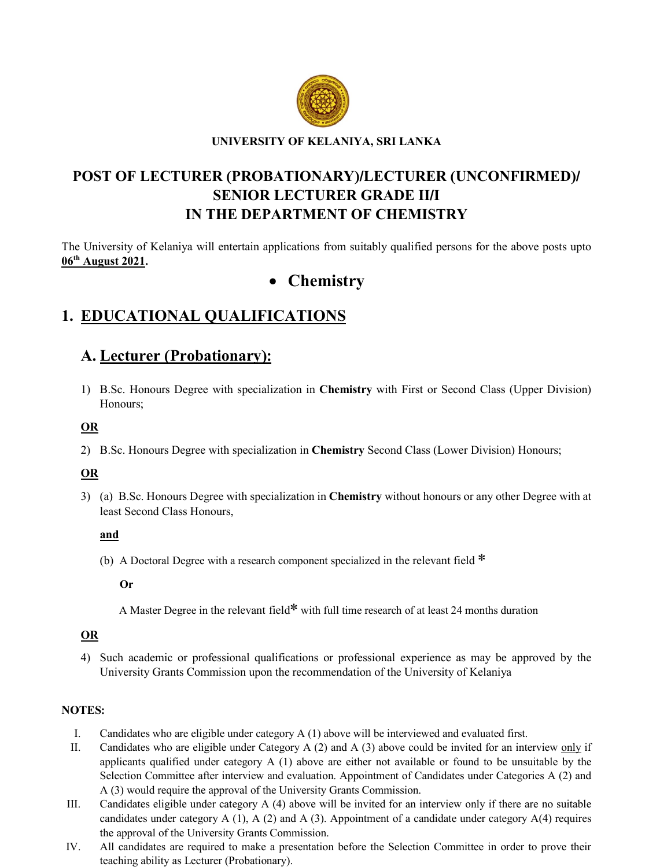

#### UNIVERSITY OF KELANIYA, SRI LANKA

# POST OF LECTURER (PROBATIONARY)/LECTURER (UNCONFIRMED)/ SENIOR LECTURER GRADE II/I IN THE DEPARTMENT OF CHEMISTRY

The University of Kelaniya will entertain applications from suitably qualified persons for the above posts upto 06th August 2021.

# • Chemistry

# 1. EDUCATIONAL QUALIFICATIONS

## A. Lecturer (Probationary):

1) B.Sc. Honours Degree with specialization in Chemistry with First or Second Class (Upper Division) Honours;

### OR

2) B.Sc. Honours Degree with specialization in Chemistry Second Class (Lower Division) Honours;

## OR

3) (a) B.Sc. Honours Degree with specialization in Chemistry without honours or any other Degree with at least Second Class Honours,

and

(b) A Doctoral Degree with a research component specialized in the relevant field \*

Or

A Master Degree in the relevant field\* with full time research of at least 24 months duration

## OR

4) Such academic or professional qualifications or professional experience as may be approved by the University Grants Commission upon the recommendation of the University of Kelaniya

#### NOTES:

- I. Candidates who are eligible under category A (1) above will be interviewed and evaluated first.
- II. Candidates who are eligible under Category A (2) and A (3) above could be invited for an interview only if applicants qualified under category  $A(1)$  above are either not available or found to be unsuitable by the Selection Committee after interview and evaluation. Appointment of Candidates under Categories A (2) and A (3) would require the approval of the University Grants Commission.
- III. Candidates eligible under category A (4) above will be invited for an interview only if there are no suitable candidates under category A (1), A (2) and A (3). Appointment of a candidate under category A(4) requires the approval of the University Grants Commission.
- IV. All candidates are required to make a presentation before the Selection Committee in order to prove their teaching ability as Lecturer (Probationary).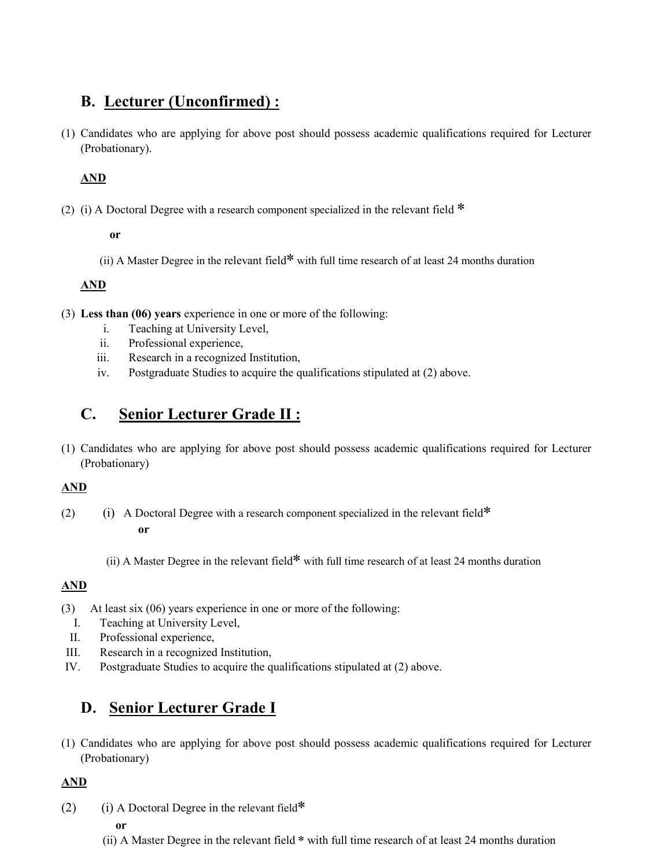## B. Lecturer (Unconfirmed) :

(1) Candidates who are applying for above post should possess academic qualifications required for Lecturer (Probationary).

## AND

(2) (i) A Doctoral Degree with a research component specialized in the relevant field  $*$ 

#### or

(ii) A Master Degree in the relevant field\* with full time research of at least 24 months duration

## AND

- (3) Less than (06) years experience in one or more of the following:
	- i. Teaching at University Level,
	- ii. Professional experience,
	- iii. Research in a recognized Institution,
	- iv. Postgraduate Studies to acquire the qualifications stipulated at (2) above.

# C. Senior Lecturer Grade II :

(1) Candidates who are applying for above post should possess academic qualifications required for Lecturer (Probationary)

## AND

- (2) (i) A Doctoral Degree with a research component specialized in the relevant field\* or
	- (ii) A Master Degree in the relevant field\* with full time research of at least 24 months duration

## AND

- (3) At least six (06) years experience in one or more of the following:
	- I. Teaching at University Level,
	- II. Professional experience,
- III. Research in a recognized Institution,
- IV. Postgraduate Studies to acquire the qualifications stipulated at (2) above.

## D. Senior Lecturer Grade I

(1) Candidates who are applying for above post should possess academic qualifications required for Lecturer (Probationary)

## AND

(2) (i) A Doctoral Degree in the relevant field\*

or

(ii) A Master Degree in the relevant field \* with full time research of at least 24 months duration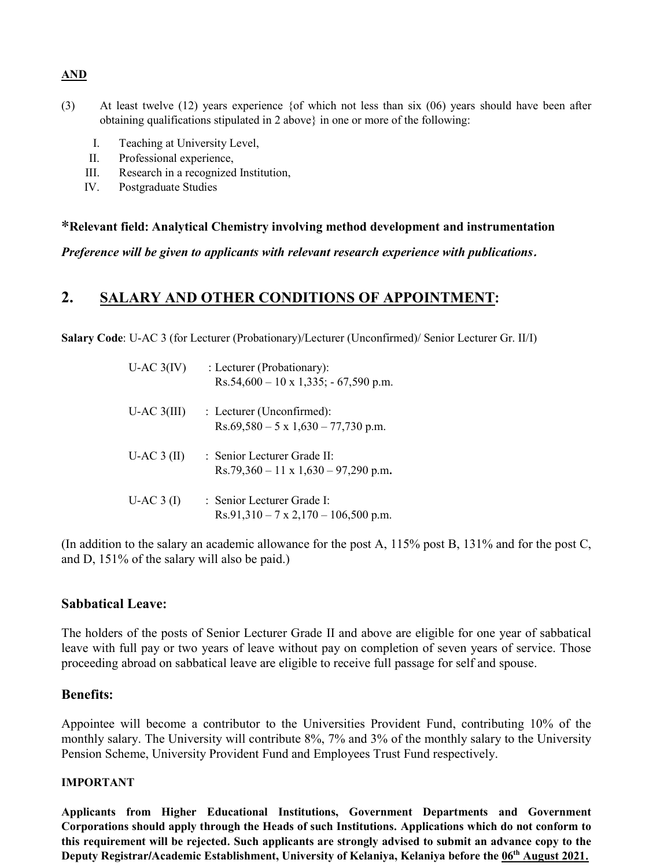#### AND

- (3) At least twelve (12) years experience {of which not less than six (06) years should have been after obtaining qualifications stipulated in 2 above} in one or more of the following:
	- I. Teaching at University Level,
	- II. Professional experience,
	- III. Research in a recognized Institution,
	- IV. Postgraduate Studies

#### \*Relevant field: Analytical Chemistry involving method development and instrumentation

*Preference will be given to applicants with relevant research experience with publications*.

## 2. SALARY AND OTHER CONDITIONS OF APPOINTMENT:

Salary Code: U-AC 3 (for Lecturer (Probationary)/Lecturer (Unconfirmed)/ Senior Lecturer Gr. II/I)

| $U$ -AC $3(IV)$ | : Lecturer (Probationary):<br>$Rs.54,600 - 10 \times 1,335$ ; $- 67,590 \text{ p.m.}$           |
|-----------------|-------------------------------------------------------------------------------------------------|
| $U-AC$ 3(III)   | $\therefore$ Lecturer (Unconfirmed):<br>$Rs.69,580 - 5 \times 1,630 - 77,730 \text{ p.m.}$      |
| $U-AC3$ (II)    | $\cdot$ Senior Lecturer Grade II $\cdot$<br>$Rs.79,360 - 11 \times 1,630 - 97,290 \text{ p.m.}$ |
| $U-AC3$ (I)     | : Senior Lecturer Grade I:<br>$Rs.91,310 - 7 \times 2,170 - 106,500 \text{ p.m.}$               |

(In addition to the salary an academic allowance for the post A, 115% post B, 131% and for the post C, and D, 151% of the salary will also be paid.)

#### Sabbatical Leave:

The holders of the posts of Senior Lecturer Grade II and above are eligible for one year of sabbatical leave with full pay or two years of leave without pay on completion of seven years of service. Those proceeding abroad on sabbatical leave are eligible to receive full passage for self and spouse.

#### Benefits:

Appointee will become a contributor to the Universities Provident Fund, contributing 10% of the monthly salary. The University will contribute 8%, 7% and 3% of the monthly salary to the University Pension Scheme, University Provident Fund and Employees Trust Fund respectively.

#### IMPORTANT

Applicants from Higher Educational Institutions, Government Departments and Government Corporations should apply through the Heads of such Institutions. Applications which do not conform to this requirement will be rejected. Such applicants are strongly advised to submit an advance copy to the Deputy Registrar/Academic Establishment, University of Kelaniya, Kelaniya before the 06<sup>th</sup> August 2021.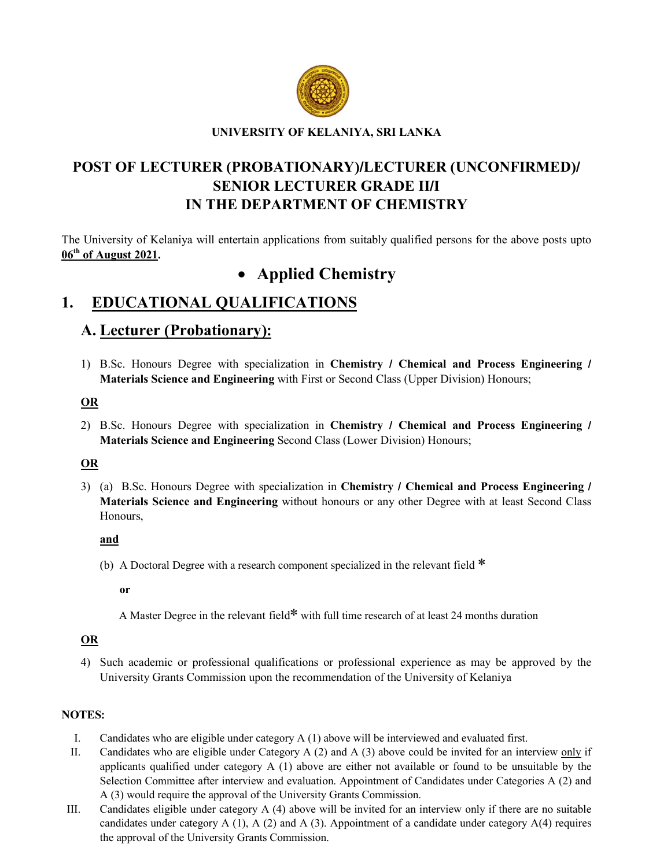

#### UNIVERSITY OF KELANIYA, SRI LANKA

## POST OF LECTURER (PROBATIONARY)/LECTURER (UNCONFIRMED)/ SENIOR LECTURER GRADE II/I IN THE DEPARTMENT OF CHEMISTRY

The University of Kelaniya will entertain applications from suitably qualified persons for the above posts upto 06<sup>th</sup> of August 2021.

# • Applied Chemistry

## 1. EDUCATIONAL QUALIFICATIONS

## A. Lecturer (Probationary):

1) B.Sc. Honours Degree with specialization in Chemistry / Chemical and Process Engineering / Materials Science and Engineering with First or Second Class (Upper Division) Honours;

#### OR

2) B.Sc. Honours Degree with specialization in Chemistry / Chemical and Process Engineering / Materials Science and Engineering Second Class (Lower Division) Honours;

#### OR

3) (a) B.Sc. Honours Degree with specialization in Chemistry / Chemical and Process Engineering / Materials Science and Engineering without honours or any other Degree with at least Second Class Honours,

#### and

(b) A Doctoral Degree with a research component specialized in the relevant field \*

or

A Master Degree in the relevant field\* with full time research of at least 24 months duration

#### OR

4) Such academic or professional qualifications or professional experience as may be approved by the University Grants Commission upon the recommendation of the University of Kelaniya

#### NOTES:

- I. Candidates who are eligible under category A (1) above will be interviewed and evaluated first.
- II. Candidates who are eligible under Category A (2) and A (3) above could be invited for an interview only if applicants qualified under category  $A(1)$  above are either not available or found to be unsuitable by the Selection Committee after interview and evaluation. Appointment of Candidates under Categories A (2) and A (3) would require the approval of the University Grants Commission.
- III. Candidates eligible under category A (4) above will be invited for an interview only if there are no suitable candidates under category A (1), A (2) and A (3). Appointment of a candidate under category  $A(4)$  requires the approval of the University Grants Commission.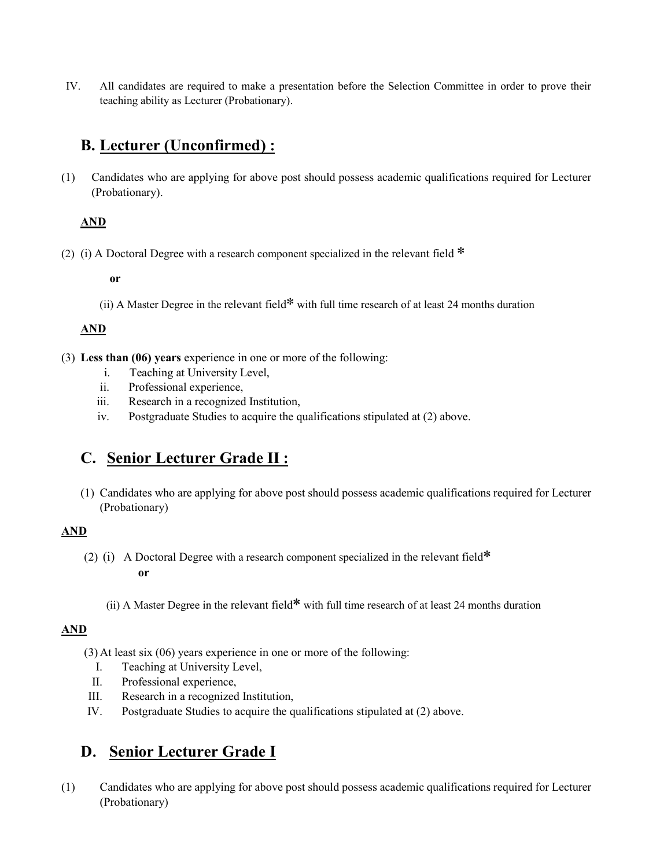IV. All candidates are required to make a presentation before the Selection Committee in order to prove their teaching ability as Lecturer (Probationary).

## B. Lecturer (Unconfirmed) :

(1) Candidates who are applying for above post should possess academic qualifications required for Lecturer (Probationary).

## AND

(2) (i) A Doctoral Degree with a research component specialized in the relevant field  $*$ 

or

(ii) A Master Degree in the relevant field\* with full time research of at least 24 months duration

## AND

- (3) Less than (06) years experience in one or more of the following:
	- i. Teaching at University Level,
	- ii. Professional experience,
	- iii. Research in a recognized Institution,
	- iv. Postgraduate Studies to acquire the qualifications stipulated at (2) above.

## C. Senior Lecturer Grade II :

(1) Candidates who are applying for above post should possess academic qualifications required for Lecturer (Probationary)

## AND

- (2) (i) A Doctoral Degree with a research component specialized in the relevant field\* or
	- (ii) A Master Degree in the relevant field\* with full time research of at least 24 months duration

## AND

- (3) At least six (06) years experience in one or more of the following:
	- I. Teaching at University Level,
	- II. Professional experience,
- III. Research in a recognized Institution,
- IV. Postgraduate Studies to acquire the qualifications stipulated at (2) above.

## D. Senior Lecturer Grade I

(1) Candidates who are applying for above post should possess academic qualifications required for Lecturer (Probationary)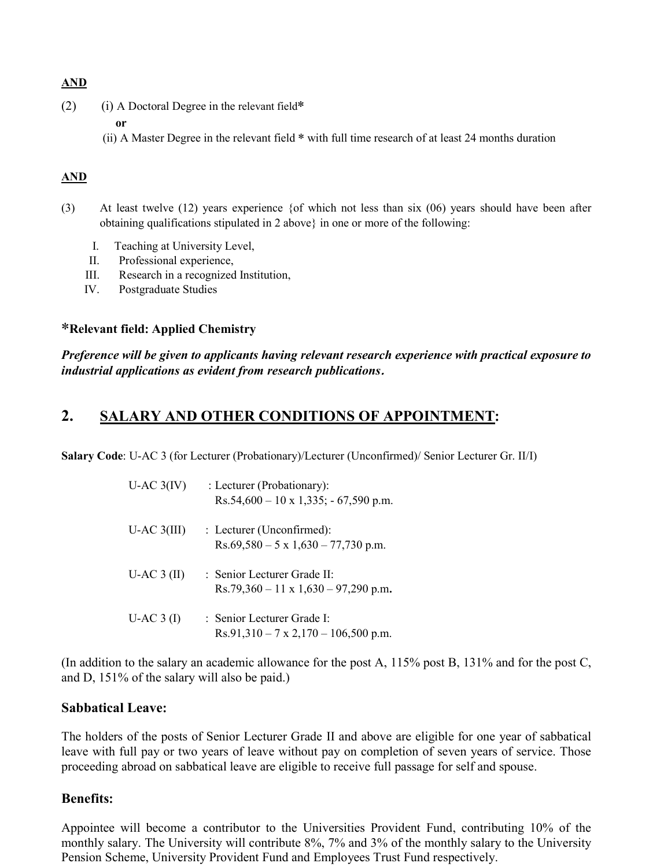### AND

- (2) (i) A Doctoral Degree in the relevant field\*
	- or
	- (ii) A Master Degree in the relevant field \* with full time research of at least 24 months duration

## AND

- (3) At least twelve (12) years experience {of which not less than six (06) years should have been after obtaining qualifications stipulated in 2 above} in one or more of the following:
	- I. Teaching at University Level,
	- II. Professional experience,
	- III. Research in a recognized Institution,
	- IV. Postgraduate Studies

### \*Relevant field: Applied Chemistry

*Preference will be given to applicants having relevant research experience with practical exposure to industrial applications as evident from research publications*.

## 2. SALARY AND OTHER CONDITIONS OF APPOINTMENT:

Salary Code: U-AC 3 (for Lecturer (Probationary)/Lecturer (Unconfirmed)/ Senior Lecturer Gr. II/I)

| $U$ -AC $3(IV)$ | : Lecturer (Probationary):<br>$Rs.54,600 - 10 \times 1,335$ ; $- 67,590 \text{ p.m.}$           |
|-----------------|-------------------------------------------------------------------------------------------------|
| $U-AC$ 3(III)   | : Lecturer (Unconfirmed):<br>$Rs.69,580 - 5 \times 1,630 - 77,730 \text{ p.m.}$                 |
| $U-AC3$ (II)    | $\cdot$ Senior Lecturer Grade II $\cdot$<br>$Rs.79,360 - 11 \times 1,630 - 97,290 \text{ p.m.}$ |
| $U-AC3$ (I)     | : Senior Lecturer Grade I:<br>$Rs.91,310 - 7 \times 2,170 - 106,500 \text{ p.m.}$               |

(In addition to the salary an academic allowance for the post A, 115% post B, 131% and for the post C, and D, 151% of the salary will also be paid.)

#### Sabbatical Leave:

The holders of the posts of Senior Lecturer Grade II and above are eligible for one year of sabbatical leave with full pay or two years of leave without pay on completion of seven years of service. Those proceeding abroad on sabbatical leave are eligible to receive full passage for self and spouse.

## Benefits:

Appointee will become a contributor to the Universities Provident Fund, contributing 10% of the monthly salary. The University will contribute 8%, 7% and 3% of the monthly salary to the University Pension Scheme, University Provident Fund and Employees Trust Fund respectively.